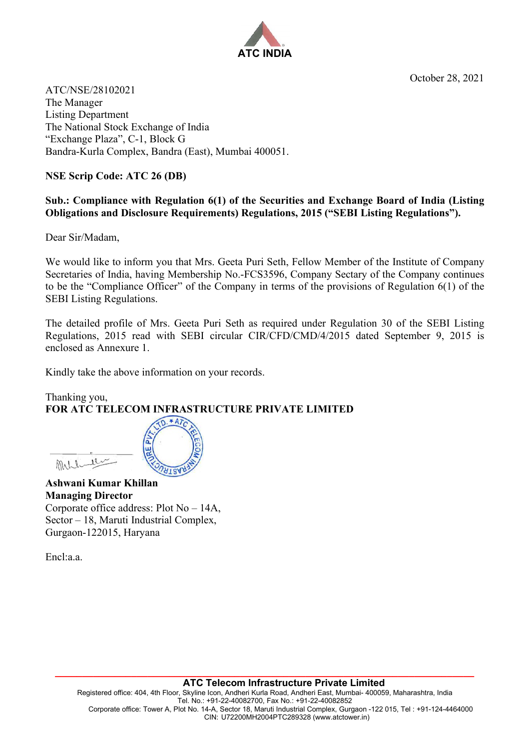October 28, 2021



ATC/NSE/28102021 The Manager Listing Department The National Stock Exchange of India "Exchange Plaza", C-1, Block G Bandra-Kurla Complex, Bandra (East), Mumbai 400051.

## **NSE Scrip Code: ATC 26 (DB)**

## **Sub.: Compliance with Regulation 6(1) of the Securities and Exchange Board of India (Listing Obligations and Disclosure Requirements) Regulations, 2015 ("SEBI Listing Regulations").**

Dear Sir/Madam,

We would like to inform you that Mrs. Geeta Puri Seth, Fellow Member of the Institute of Company Secretaries of India, having Membership No.-FCS3596, Company Sectary of the Company continues to be the "Compliance Officer" of the Company in terms of the provisions of Regulation 6(1) of the SEBI Listing Regulations.

The detailed profile of Mrs. Geeta Puri Seth as required under Regulation 30 of the SEBI Listing Regulations, 2015 read with SEBI circular CIR/CFD/CMD/4/2015 dated September 9, 2015 is enclosed as Annexure 1.

Kindly take the above information on your records.

 $D.*ATC$ 

## Thanking you, **FOR ATC TELECOM INFRASTRUCTURE PRIVATE LIMITED**

**Ashwani Kumar Khillan Managing Director**  Corporate office address: Plot No – 14A, Sector – 18, Maruti Industrial Complex, Gurgaon-122015, Haryana

Encl:a.a.